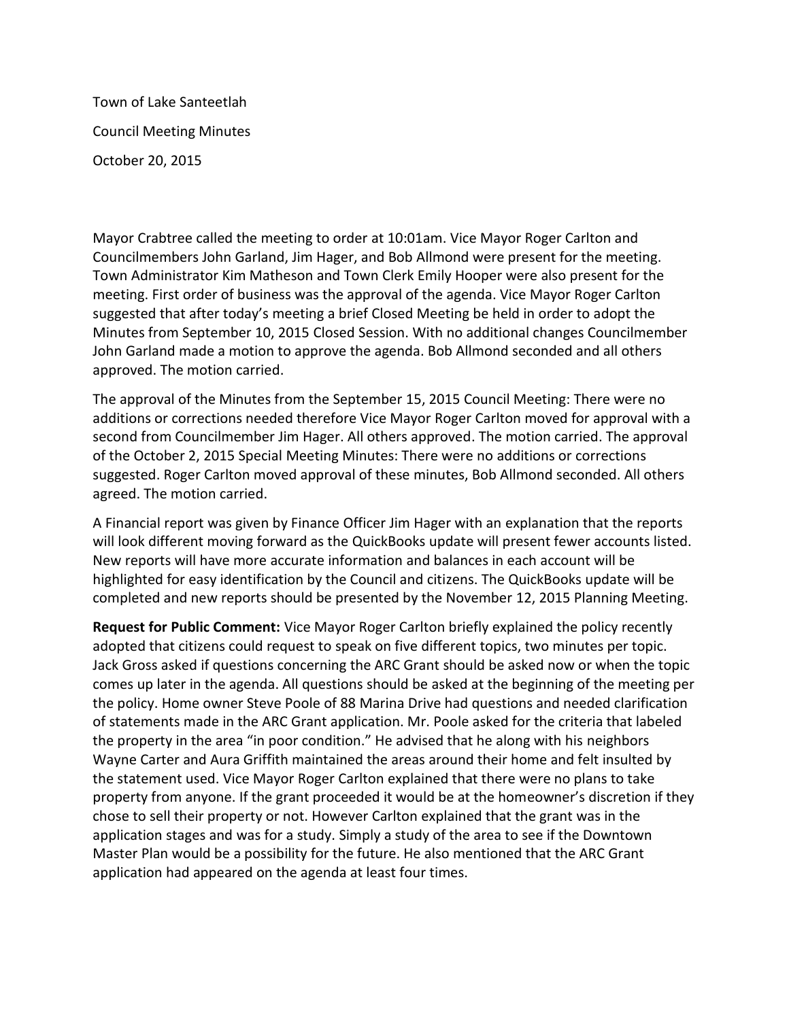Town of Lake Santeetlah Council Meeting Minutes October 20, 2015

Mayor Crabtree called the meeting to order at 10:01am. Vice Mayor Roger Carlton and Councilmembers John Garland, Jim Hager, and Bob Allmond were present for the meeting. Town Administrator Kim Matheson and Town Clerk Emily Hooper were also present for the meeting. First order of business was the approval of the agenda. Vice Mayor Roger Carlton suggested that after today's meeting a brief Closed Meeting be held in order to adopt the Minutes from September 10, 2015 Closed Session. With no additional changes Councilmember John Garland made a motion to approve the agenda. Bob Allmond seconded and all others approved. The motion carried.

The approval of the Minutes from the September 15, 2015 Council Meeting: There were no additions or corrections needed therefore Vice Mayor Roger Carlton moved for approval with a second from Councilmember Jim Hager. All others approved. The motion carried. The approval of the October 2, 2015 Special Meeting Minutes: There were no additions or corrections suggested. Roger Carlton moved approval of these minutes, Bob Allmond seconded. All others agreed. The motion carried.

A Financial report was given by Finance Officer Jim Hager with an explanation that the reports will look different moving forward as the QuickBooks update will present fewer accounts listed. New reports will have more accurate information and balances in each account will be highlighted for easy identification by the Council and citizens. The QuickBooks update will be completed and new reports should be presented by the November 12, 2015 Planning Meeting.

**Request for Public Comment:** Vice Mayor Roger Carlton briefly explained the policy recently adopted that citizens could request to speak on five different topics, two minutes per topic. Jack Gross asked if questions concerning the ARC Grant should be asked now or when the topic comes up later in the agenda. All questions should be asked at the beginning of the meeting per the policy. Home owner Steve Poole of 88 Marina Drive had questions and needed clarification of statements made in the ARC Grant application. Mr. Poole asked for the criteria that labeled the property in the area "in poor condition." He advised that he along with his neighbors Wayne Carter and Aura Griffith maintained the areas around their home and felt insulted by the statement used. Vice Mayor Roger Carlton explained that there were no plans to take property from anyone. If the grant proceeded it would be at the homeowner's discretion if they chose to sell their property or not. However Carlton explained that the grant was in the application stages and was for a study. Simply a study of the area to see if the Downtown Master Plan would be a possibility for the future. He also mentioned that the ARC Grant application had appeared on the agenda at least four times.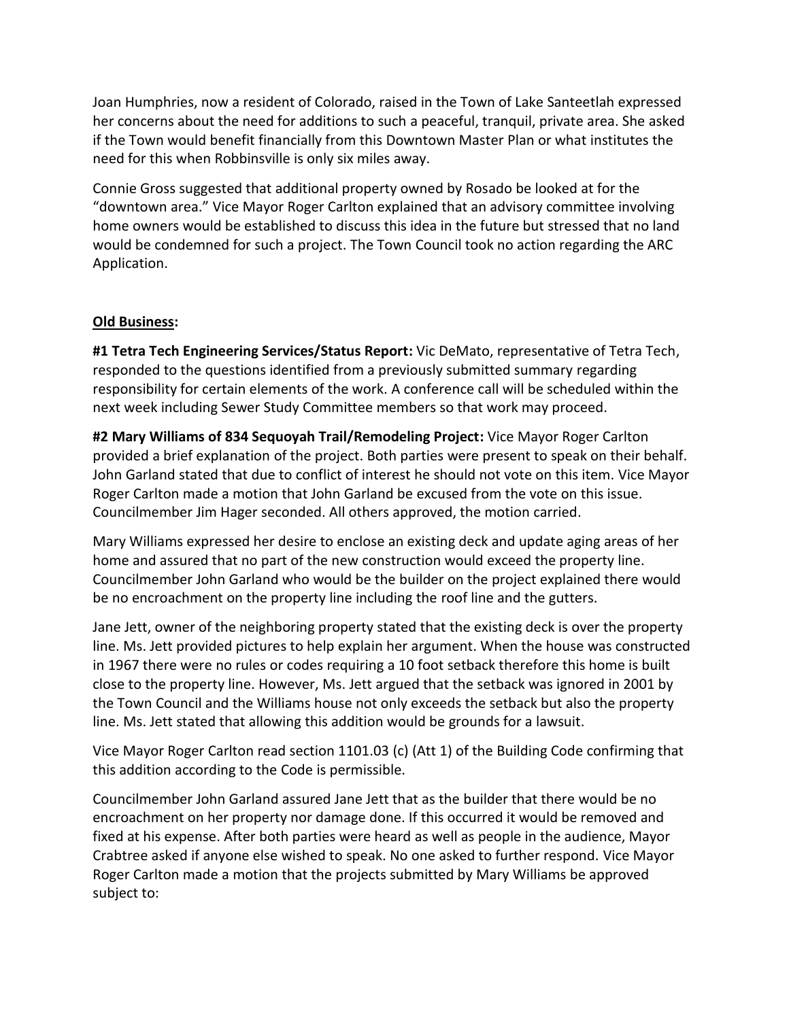Joan Humphries, now a resident of Colorado, raised in the Town of Lake Santeetlah expressed her concerns about the need for additions to such a peaceful, tranquil, private area. She asked if the Town would benefit financially from this Downtown Master Plan or what institutes the need for this when Robbinsville is only six miles away.

Connie Gross suggested that additional property owned by Rosado be looked at for the "downtown area." Vice Mayor Roger Carlton explained that an advisory committee involving home owners would be established to discuss this idea in the future but stressed that no land would be condemned for such a project. The Town Council took no action regarding the ARC Application.

## **Old Business:**

**#1 Tetra Tech Engineering Services/Status Report:** Vic DeMato, representative of Tetra Tech, responded to the questions identified from a previously submitted summary regarding responsibility for certain elements of the work. A conference call will be scheduled within the next week including Sewer Study Committee members so that work may proceed.

**#2 Mary Williams of 834 Sequoyah Trail/Remodeling Project:** Vice Mayor Roger Carlton provided a brief explanation of the project. Both parties were present to speak on their behalf. John Garland stated that due to conflict of interest he should not vote on this item. Vice Mayor Roger Carlton made a motion that John Garland be excused from the vote on this issue. Councilmember Jim Hager seconded. All others approved, the motion carried.

Mary Williams expressed her desire to enclose an existing deck and update aging areas of her home and assured that no part of the new construction would exceed the property line. Councilmember John Garland who would be the builder on the project explained there would be no encroachment on the property line including the roof line and the gutters.

Jane Jett, owner of the neighboring property stated that the existing deck is over the property line. Ms. Jett provided pictures to help explain her argument. When the house was constructed in 1967 there were no rules or codes requiring a 10 foot setback therefore this home is built close to the property line. However, Ms. Jett argued that the setback was ignored in 2001 by the Town Council and the Williams house not only exceeds the setback but also the property line. Ms. Jett stated that allowing this addition would be grounds for a lawsuit.

Vice Mayor Roger Carlton read section 1101.03 (c) (Att 1) of the Building Code confirming that this addition according to the Code is permissible.

Councilmember John Garland assured Jane Jett that as the builder that there would be no encroachment on her property nor damage done. If this occurred it would be removed and fixed at his expense. After both parties were heard as well as people in the audience, Mayor Crabtree asked if anyone else wished to speak. No one asked to further respond. Vice Mayor Roger Carlton made a motion that the projects submitted by Mary Williams be approved subject to: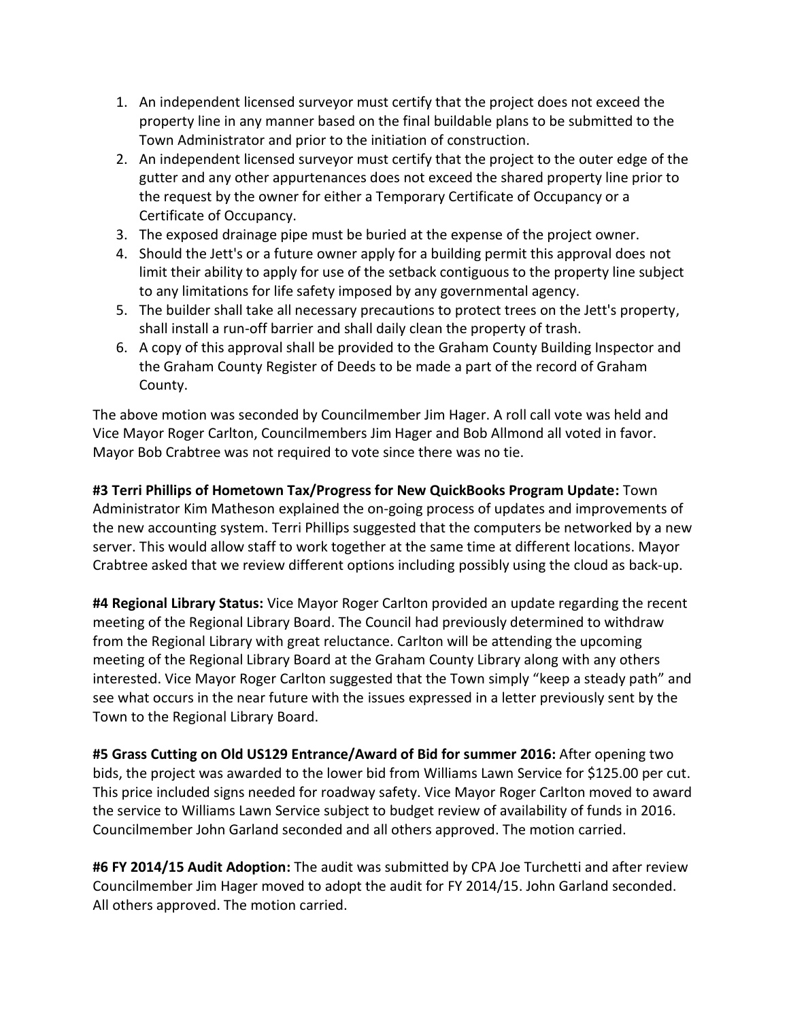- 1. An independent licensed surveyor must certify that the project does not exceed the property line in any manner based on the final buildable plans to be submitted to the Town Administrator and prior to the initiation of construction.
- 2. An independent licensed surveyor must certify that the project to the outer edge of the gutter and any other appurtenances does not exceed the shared property line prior to the request by the owner for either a Temporary Certificate of Occupancy or a Certificate of Occupancy.
- 3. The exposed drainage pipe must be buried at the expense of the project owner.
- 4. Should the Jett's or a future owner apply for a building permit this approval does not limit their ability to apply for use of the setback contiguous to the property line subject to any limitations for life safety imposed by any governmental agency.
- 5. The builder shall take all necessary precautions to protect trees on the Jett's property, shall install a run-off barrier and shall daily clean the property of trash.
- 6. A copy of this approval shall be provided to the Graham County Building Inspector and the Graham County Register of Deeds to be made a part of the record of Graham County.

The above motion was seconded by Councilmember Jim Hager. A roll call vote was held and Vice Mayor Roger Carlton, Councilmembers Jim Hager and Bob Allmond all voted in favor. Mayor Bob Crabtree was not required to vote since there was no tie.

**#3 Terri Phillips of Hometown Tax/Progress for New QuickBooks Program Update:** Town Administrator Kim Matheson explained the on-going process of updates and improvements of the new accounting system. Terri Phillips suggested that the computers be networked by a new server. This would allow staff to work together at the same time at different locations. Mayor Crabtree asked that we review different options including possibly using the cloud as back-up.

**#4 Regional Library Status:** Vice Mayor Roger Carlton provided an update regarding the recent meeting of the Regional Library Board. The Council had previously determined to withdraw from the Regional Library with great reluctance. Carlton will be attending the upcoming meeting of the Regional Library Board at the Graham County Library along with any others interested. Vice Mayor Roger Carlton suggested that the Town simply "keep a steady path" and see what occurs in the near future with the issues expressed in a letter previously sent by the Town to the Regional Library Board.

**#5 Grass Cutting on Old US129 Entrance/Award of Bid for summer 2016:** After opening two bids, the project was awarded to the lower bid from Williams Lawn Service for \$125.00 per cut. This price included signs needed for roadway safety. Vice Mayor Roger Carlton moved to award the service to Williams Lawn Service subject to budget review of availability of funds in 2016. Councilmember John Garland seconded and all others approved. The motion carried.

**#6 FY 2014/15 Audit Adoption:** The audit was submitted by CPA Joe Turchetti and after review Councilmember Jim Hager moved to adopt the audit for FY 2014/15. John Garland seconded. All others approved. The motion carried.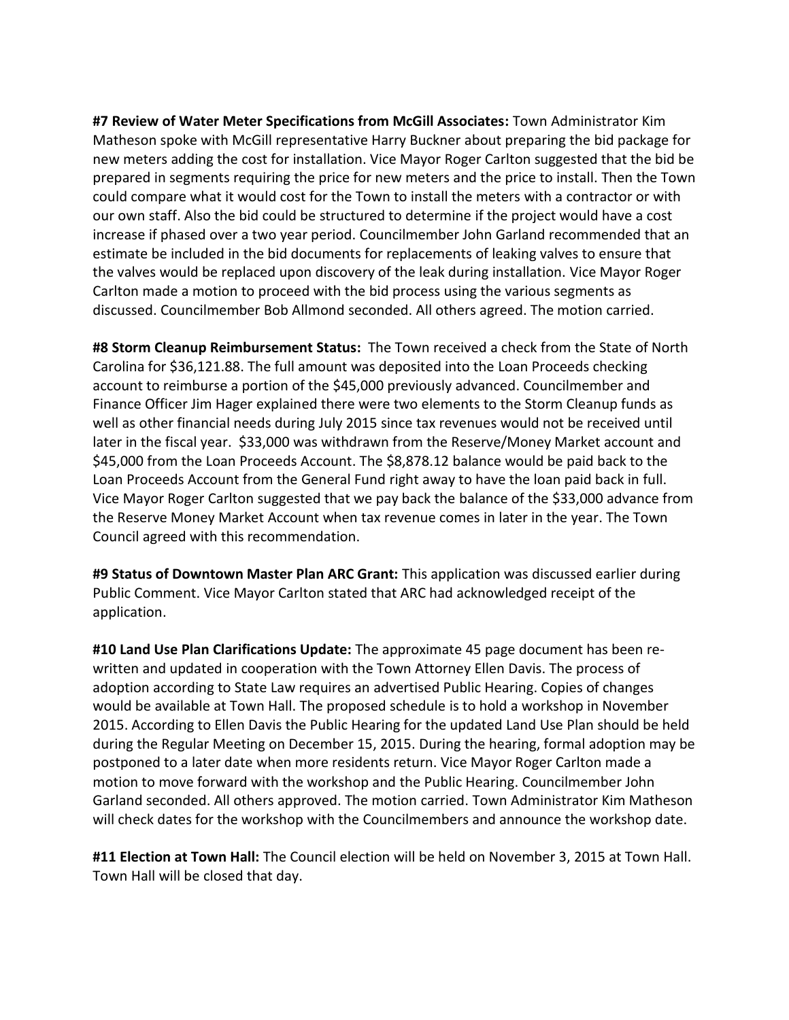**#7 Review of Water Meter Specifications from McGill Associates:** Town Administrator Kim Matheson spoke with McGill representative Harry Buckner about preparing the bid package for new meters adding the cost for installation. Vice Mayor Roger Carlton suggested that the bid be prepared in segments requiring the price for new meters and the price to install. Then the Town could compare what it would cost for the Town to install the meters with a contractor or with our own staff. Also the bid could be structured to determine if the project would have a cost increase if phased over a two year period. Councilmember John Garland recommended that an estimate be included in the bid documents for replacements of leaking valves to ensure that the valves would be replaced upon discovery of the leak during installation. Vice Mayor Roger Carlton made a motion to proceed with the bid process using the various segments as discussed. Councilmember Bob Allmond seconded. All others agreed. The motion carried.

**#8 Storm Cleanup Reimbursement Status:** The Town received a check from the State of North Carolina for \$36,121.88. The full amount was deposited into the Loan Proceeds checking account to reimburse a portion of the \$45,000 previously advanced. Councilmember and Finance Officer Jim Hager explained there were two elements to the Storm Cleanup funds as well as other financial needs during July 2015 since tax revenues would not be received until later in the fiscal year. \$33,000 was withdrawn from the Reserve/Money Market account and \$45,000 from the Loan Proceeds Account. The \$8,878.12 balance would be paid back to the Loan Proceeds Account from the General Fund right away to have the loan paid back in full. Vice Mayor Roger Carlton suggested that we pay back the balance of the \$33,000 advance from the Reserve Money Market Account when tax revenue comes in later in the year. The Town Council agreed with this recommendation.

**#9 Status of Downtown Master Plan ARC Grant:** This application was discussed earlier during Public Comment. Vice Mayor Carlton stated that ARC had acknowledged receipt of the application.

**#10 Land Use Plan Clarifications Update:** The approximate 45 page document has been rewritten and updated in cooperation with the Town Attorney Ellen Davis. The process of adoption according to State Law requires an advertised Public Hearing. Copies of changes would be available at Town Hall. The proposed schedule is to hold a workshop in November 2015. According to Ellen Davis the Public Hearing for the updated Land Use Plan should be held during the Regular Meeting on December 15, 2015. During the hearing, formal adoption may be postponed to a later date when more residents return. Vice Mayor Roger Carlton made a motion to move forward with the workshop and the Public Hearing. Councilmember John Garland seconded. All others approved. The motion carried. Town Administrator Kim Matheson will check dates for the workshop with the Councilmembers and announce the workshop date.

**#11 Election at Town Hall:** The Council election will be held on November 3, 2015 at Town Hall. Town Hall will be closed that day.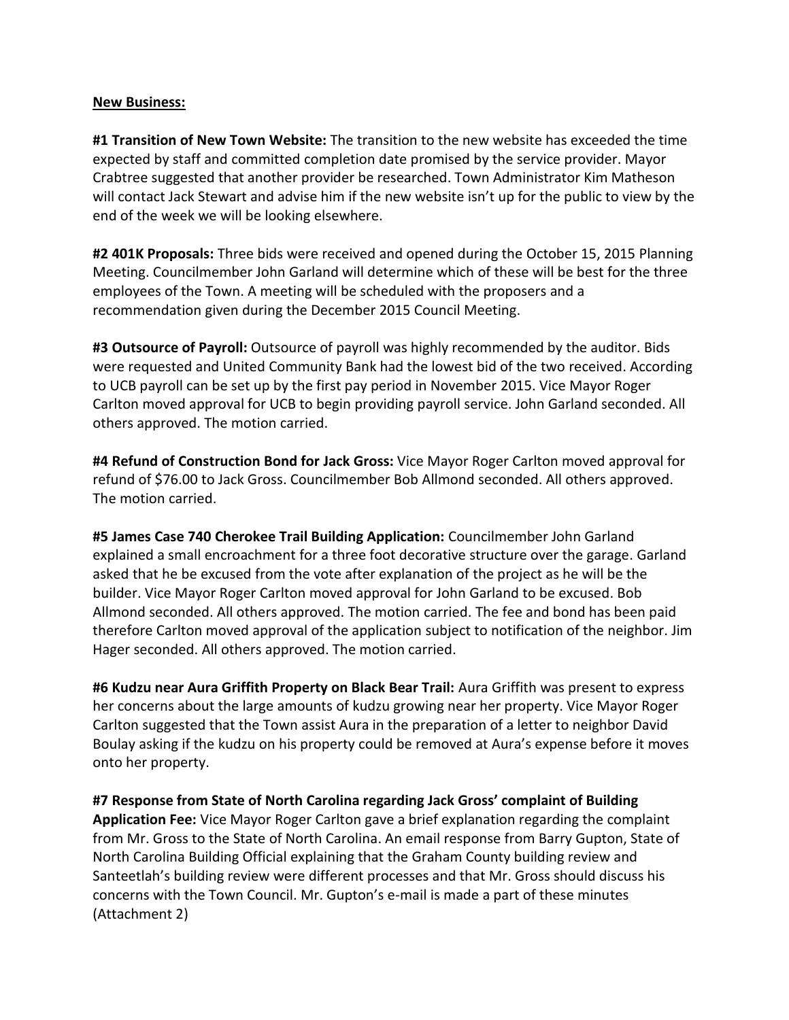## **New Business:**

**#1 Transition of New Town Website:** The transition to the new website has exceeded the time expected by staff and committed completion date promised by the service provider. Mayor Crabtree suggested that another provider be researched. Town Administrator Kim Matheson will contact Jack Stewart and advise him if the new website isn't up for the public to view by the end of the week we will be looking elsewhere.

**#2 401K Proposals:** Three bids were received and opened during the October 15, 2015 Planning Meeting. Councilmember John Garland will determine which of these will be best for the three employees of the Town. A meeting will be scheduled with the proposers and a recommendation given during the December 2015 Council Meeting.

**#3 Outsource of Payroll:** Outsource of payroll was highly recommended by the auditor. Bids were requested and United Community Bank had the lowest bid of the two received. According to UCB payroll can be set up by the first pay period in November 2015. Vice Mayor Roger Carlton moved approval for UCB to begin providing payroll service. John Garland seconded. All others approved. The motion carried.

**#4 Refund of Construction Bond for Jack Gross:** Vice Mayor Roger Carlton moved approval for refund of \$76.00 to Jack Gross. Councilmember Bob Allmond seconded. All others approved. The motion carried.

**#5 James Case 740 Cherokee Trail Building Application:** Councilmember John Garland explained a small encroachment for a three foot decorative structure over the garage. Garland asked that he be excused from the vote after explanation of the project as he will be the builder. Vice Mayor Roger Carlton moved approval for John Garland to be excused. Bob Allmond seconded. All others approved. The motion carried. The fee and bond has been paid therefore Carlton moved approval of the application subject to notification of the neighbor. Jim Hager seconded. All others approved. The motion carried.

**#6 Kudzu near Aura Griffith Property on Black Bear Trail:** Aura Griffith was present to express her concerns about the large amounts of kudzu growing near her property. Vice Mayor Roger Carlton suggested that the Town assist Aura in the preparation of a letter to neighbor David Boulay asking if the kudzu on his property could be removed at Aura's expense before it moves onto her property.

**#7 Response from State of North Carolina regarding Jack Gross' complaint of Building Application Fee:** Vice Mayor Roger Carlton gave a brief explanation regarding the complaint from Mr. Gross to the State of North Carolina. An email response from Barry Gupton, State of North Carolina Building Official explaining that the Graham County building review and Santeetlah's building review were different processes and that Mr. Gross should discuss his concerns with the Town Council. Mr. Gupton's e-mail is made a part of these minutes (Attachment 2)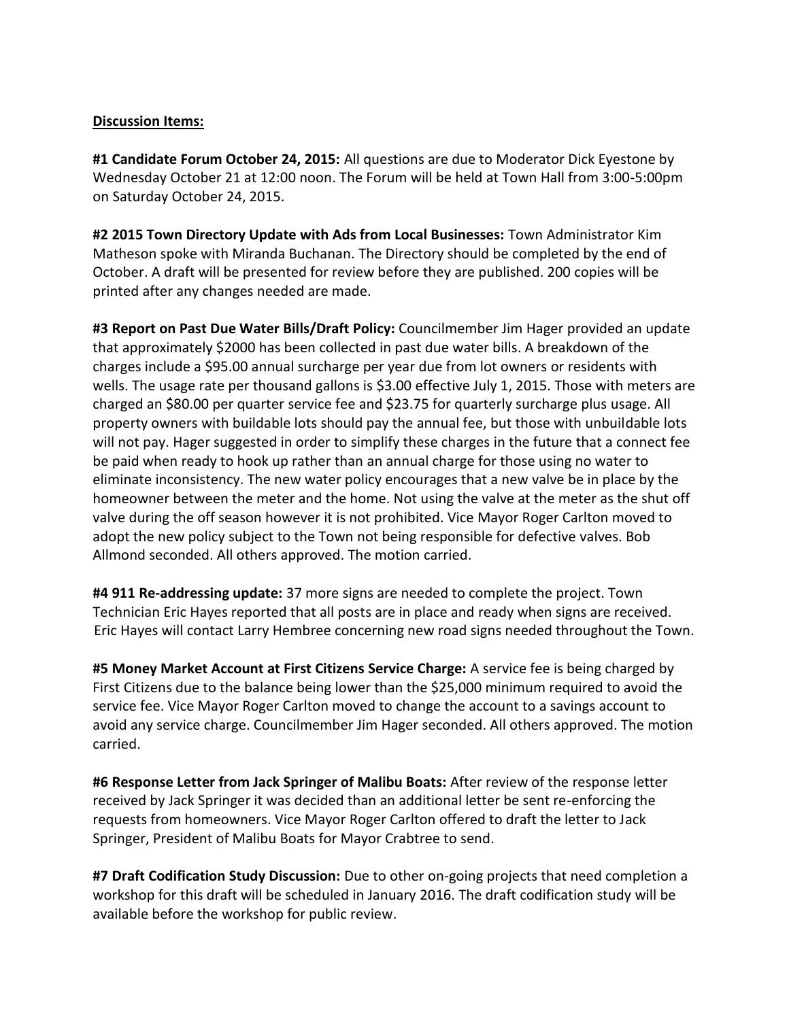## **Discussion Items:**

**#1 Candidate Forum October 24, 2015:** All questions are due to Moderator Dick Eyestone by Wednesday October 21 at 12:00 noon. The Forum will be held at Town Hall from 3:00-5:00pm on Saturday October 24, 2015.

**#2 2015 Town Directory Update with Ads from Local Businesses:** Town Administrator Kim Matheson spoke with Miranda Buchanan. The Directory should be completed by the end of October. A draft will be presented for review before they are published. 200 copies will be printed after any changes needed are made.

**#3 Report on Past Due Water Bills/Draft Policy:** Councilmember Jim Hager provided an update that approximately \$2000 has been collected in past due water bills. A breakdown of the charges include a \$95.00 annual surcharge per year due from lot owners or residents with wells. The usage rate per thousand gallons is \$3.00 effective July 1, 2015. Those with meters are charged an \$80.00 per quarter service fee and \$23.75 for quarterly surcharge plus usage. All property owners with buildable lots should pay the annual fee, but those with unbuildable lots will not pay. Hager suggested in order to simplify these charges in the future that a connect fee be paid when ready to hook up rather than an annual charge for those using no water to eliminate inconsistency. The new water policy encourages that a new valve be in place by the homeowner between the meter and the home. Not using the valve at the meter as the shut off valve during the off season however it is not prohibited. Vice Mayor Roger Carlton moved to adopt the new policy subject to the Town not being responsible for defective valves. Bob Allmond seconded. All others approved. The motion carried.

**#4 911 Re-addressing update:** 37 more signs are needed to complete the project. Town Technician Eric Hayes reported that all posts are in place and ready when signs are received. Eric Hayes will contact Larry Hembree concerning new road signs needed throughout the Town.

**#5 Money Market Account at First Citizens Service Charge:** A service fee is being charged by First Citizens due to the balance being lower than the \$25,000 minimum required to avoid the service fee. Vice Mayor Roger Carlton moved to change the account to a savings account to avoid any service charge. Councilmember Jim Hager seconded. All others approved. The motion carried.

**#6 Response Letter from Jack Springer of Malibu Boats:** After review of the response letter received by Jack Springer it was decided than an additional letter be sent re-enforcing the requests from homeowners. Vice Mayor Roger Carlton offered to draft the letter to Jack Springer, President of Malibu Boats for Mayor Crabtree to send.

**#7 Draft Codification Study Discussion:** Due to other on-going projects that need completion a workshop for this draft will be scheduled in January 2016. The draft codification study will be available before the workshop for public review.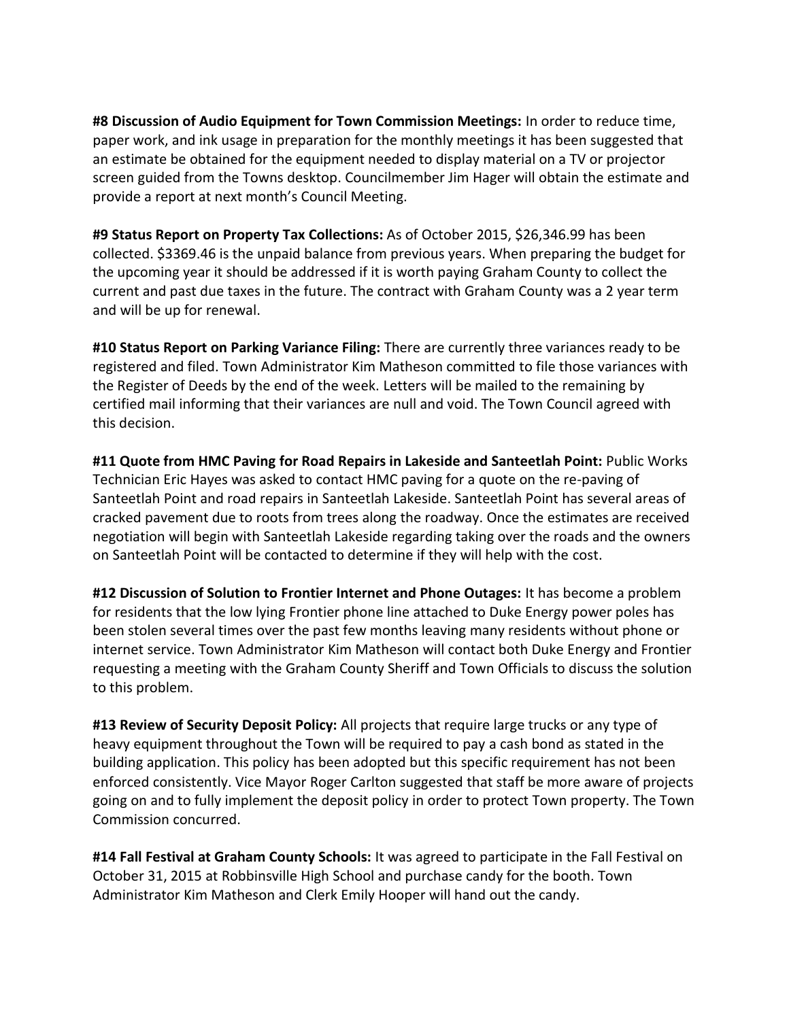**#8 Discussion of Audio Equipment for Town Commission Meetings:** In order to reduce time, paper work, and ink usage in preparation for the monthly meetings it has been suggested that an estimate be obtained for the equipment needed to display material on a TV or projector screen guided from the Towns desktop. Councilmember Jim Hager will obtain the estimate and provide a report at next month's Council Meeting.

**#9 Status Report on Property Tax Collections:** As of October 2015, \$26,346.99 has been collected. \$3369.46 is the unpaid balance from previous years. When preparing the budget for the upcoming year it should be addressed if it is worth paying Graham County to collect the current and past due taxes in the future. The contract with Graham County was a 2 year term and will be up for renewal.

**#10 Status Report on Parking Variance Filing:** There are currently three variances ready to be registered and filed. Town Administrator Kim Matheson committed to file those variances with the Register of Deeds by the end of the week. Letters will be mailed to the remaining by certified mail informing that their variances are null and void. The Town Council agreed with this decision.

**#11 Quote from HMC Paving for Road Repairs in Lakeside and Santeetlah Point:** Public Works Technician Eric Hayes was asked to contact HMC paving for a quote on the re-paving of Santeetlah Point and road repairs in Santeetlah Lakeside. Santeetlah Point has several areas of cracked pavement due to roots from trees along the roadway. Once the estimates are received negotiation will begin with Santeetlah Lakeside regarding taking over the roads and the owners on Santeetlah Point will be contacted to determine if they will help with the cost.

**#12 Discussion of Solution to Frontier Internet and Phone Outages:** It has become a problem for residents that the low lying Frontier phone line attached to Duke Energy power poles has been stolen several times over the past few months leaving many residents without phone or internet service. Town Administrator Kim Matheson will contact both Duke Energy and Frontier requesting a meeting with the Graham County Sheriff and Town Officials to discuss the solution to this problem.

**#13 Review of Security Deposit Policy:** All projects that require large trucks or any type of heavy equipment throughout the Town will be required to pay a cash bond as stated in the building application. This policy has been adopted but this specific requirement has not been enforced consistently. Vice Mayor Roger Carlton suggested that staff be more aware of projects going on and to fully implement the deposit policy in order to protect Town property. The Town Commission concurred.

**#14 Fall Festival at Graham County Schools:** It was agreed to participate in the Fall Festival on October 31, 2015 at Robbinsville High School and purchase candy for the booth. Town Administrator Kim Matheson and Clerk Emily Hooper will hand out the candy.